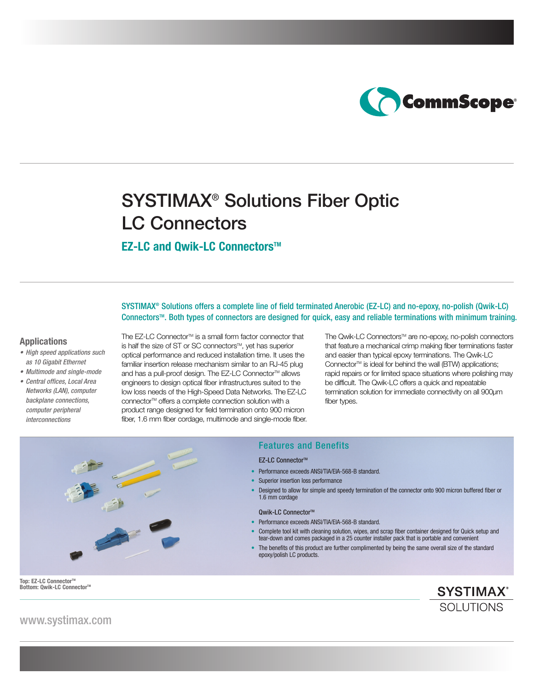

# SYSTIMAX® Solutions Fiber Optic LC Connectors

# **EZ-LC and Owik-LC Connectors™**

SYSTIMAX® Solutions offers a complete line of field terminated Anerobic (EZ-LC) and no-epoxy, no-polish (Qwik-LC) ConnectorsTM. Both types of connectors are designed for quick, easy and reliable terminations with minimum training.

### **Applications**

- High speed applications such as 10 Gigabit Ethernet
- Multimode and single-mode
- Central offices, Local Area Networks (LAN), computer backplane connections, computer peripheral interconnections

The EZ-LC Connector™ is a small form factor connector that is half the size of ST or SC connectors™, yet has superior optical performance and reduced installation time. It uses the familiar insertion release mechanism similar to an RJ-45 plug and has a pull-proof design. The EZ-LC Connector™ allows engineers to design optical fiber infrastructures suited to the low loss needs of the High-Speed Data Networks. The EZ-LC connector™ offers a complete connection solution with a product range designed for field termination onto 900 micron fiber, 1.6 mm fiber cordage, multimode and single-mode fiber. The Qwik-LC Connectors™ are no-epoxy, no-polish connectors that feature a mechanical crimp making fiber terminations faster and easier than typical epoxy terminations. The Qwik-LC Connector<sup>™</sup> is ideal for behind the wall (BTW) applications; rapid repairs or for limited space situations where polishing may be difficult. The Qwik-LC offers a quick and repeatable termination solution for immediate connectivity on all 900µm fiber types.



# Features and Benefits

#### **EZ-LC Connector™**

- Performance exceeds ANSI/TIA/EIA-568-B standard.
- Superior insertion loss performance
- Designed to allow for simple and speedy termination of the connector onto 900 micron buffered fiber or 1.6 mm cordage

#### Qwik-LC Connector™

- Performance exceeds ANSI/TIA/EIA-568-B standard.
- Complete tool kit with cleaning solution, wipes, and scrap fiber container designed for Quick setup and tear-down and comes packaged in a 25 counter installer pack that is portable and convenient
- The benefits of this product are further complimented by being the same overall size of the standard epoxy/polish LC products.

Top: EZ-LC Connector<sup>™</sup> **Bottom: Qwik-LC Connector™** 

**SYSTIMAX® SOLUTIONS** 

www.systimax.com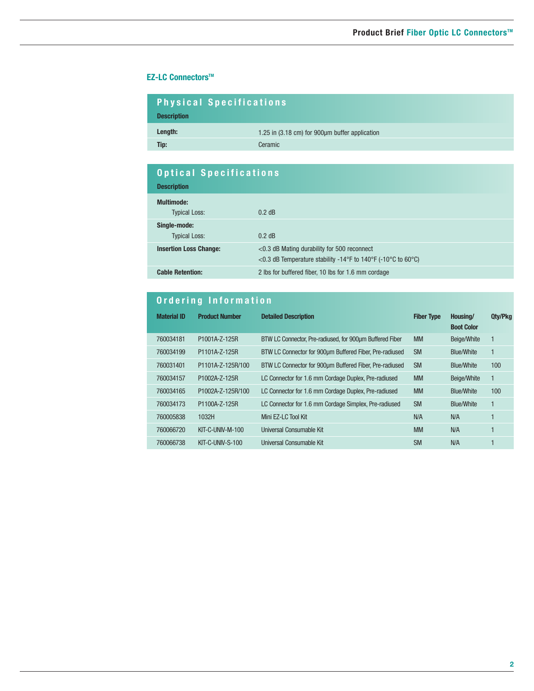# **EZ-LC Connectors™**

| <b>Physical Specifications</b><br><b>Description</b> |                                                |  |  |
|------------------------------------------------------|------------------------------------------------|--|--|
| Length:                                              | 1.25 in (3.18 cm) for 900µm buffer application |  |  |
| Tip:                                                 | Ceramic                                        |  |  |

| <b>Optical Specifications</b><br><b>Description</b> |                                                                                                                |  |
|-----------------------------------------------------|----------------------------------------------------------------------------------------------------------------|--|
| Multimode:<br><b>Typical Loss:</b>                  | $0.2$ dB                                                                                                       |  |
| Single-mode:<br><b>Typical Loss:</b>                | $0.2$ dB                                                                                                       |  |
| <b>Insertion Loss Change:</b>                       | $<$ 0.3 dB Mating durability for 500 reconnect<br><0.3 dB Temperature stability -14°F to 140°F (-10°C to 60°C) |  |
| <b>Cable Retention:</b>                             | 2 lbs for buffered fiber, 10 lbs for 1.6 mm cordage                                                            |  |

# **Ordering Information**

| <b>Material ID</b> | <b>Product Number</b> | <b>Detailed Description</b>                              | <b>Fiber Type</b> | Housing/<br><b>Boot Color</b> | Qty/Pkg          |
|--------------------|-----------------------|----------------------------------------------------------|-------------------|-------------------------------|------------------|
| 760034181          | P1001A-Z-125R         | BTW LC Connector, Pre-radiused, for 900um Buffered Fiber | <b>MM</b>         | Beige/White                   | $\mathbf{1}$     |
| 760034199          | P1101A-Z-125R         | BTW LC Connector for 900um Buffered Fiber, Pre-radiused  | <b>SM</b>         | <b>Blue/White</b>             | 1                |
| 760031401          | P1101A-7-125R/100     | BTW LC Connector for 900um Buffered Fiber, Pre-radiused  | <b>SM</b>         | <b>Blue/White</b>             | 100              |
| 760034157          | P1002A-Z-125R         | LC Connector for 1.6 mm Cordage Duplex, Pre-radiused     | <b>MM</b>         | Beige/White                   | 1                |
| 760034165          | P1002A-Z-125R/100     | LC Connector for 1.6 mm Cordage Duplex, Pre-radiused     | <b>MM</b>         | <b>Blue/White</b>             | 100 <sub>1</sub> |
| 760034173          | P1100A-Z-125R         | LC Connector for 1.6 mm Cordage Simplex, Pre-radiused    | <b>SM</b>         | <b>Blue/White</b>             | 1                |
| 760005838          | 1032H                 | Mini EZ-LC Tool Kit                                      | N/A               | N/A                           |                  |
| 760066720          | KIT-C-UNIV-M-100      | Universal Consumable Kit                                 | <b>MM</b>         | N/A                           | 1                |
| 760066738          | $KIT-C-UNIV-S-100$    | Universal Consumable Kit                                 | <b>SM</b>         | N/A                           |                  |